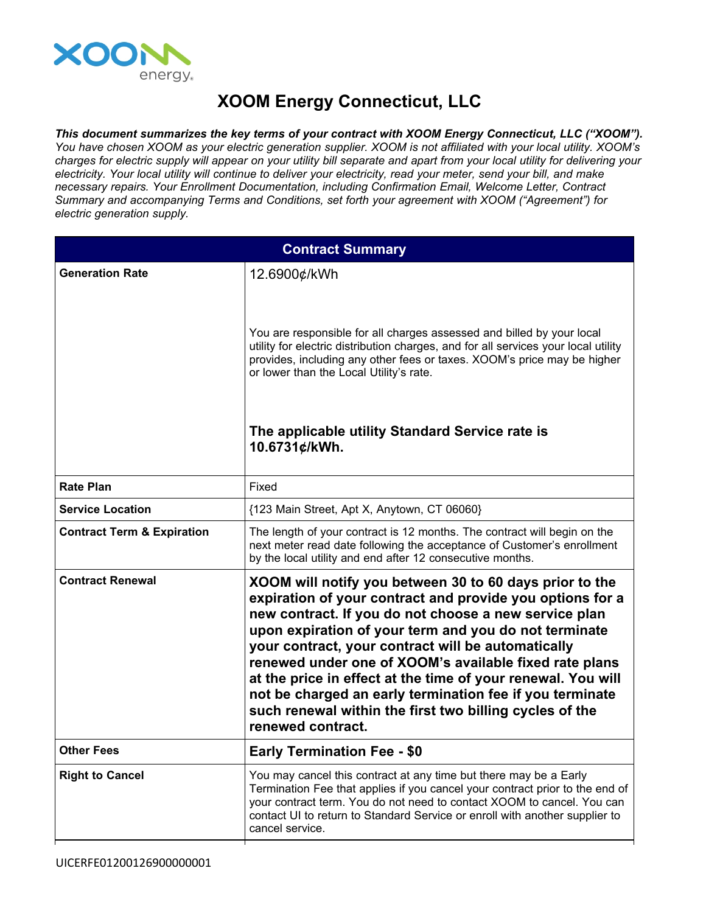

## **XOOM Energy Connecticut, LLC**

*This document summarizes the key terms of your contract with XOOM Energy Connecticut, LLC ("XOOM").* You have chosen XOOM as your electric generation supplier. XOOM is not affiliated with your local utility. XOOM's charges for electric supply will appear on your utility bill separate and apart from your local utility for delivering your electricity. Your local utility will continue to deliver your electricity, read your meter, send your bill, and make *necessary repairs. Your Enrollment Documentation, including Confirmation Email, Welcome Letter, Contract Summary and accompanying Terms and Conditions, set forth your agreement with XOOM ("Agreement") for electric generation supply.*

| <b>Contract Summary</b>               |                                                                                                                                                                                                                                                                                                                                                                                                                                                                                                                                                                    |
|---------------------------------------|--------------------------------------------------------------------------------------------------------------------------------------------------------------------------------------------------------------------------------------------------------------------------------------------------------------------------------------------------------------------------------------------------------------------------------------------------------------------------------------------------------------------------------------------------------------------|
| <b>Generation Rate</b>                | 12.6900¢/kWh                                                                                                                                                                                                                                                                                                                                                                                                                                                                                                                                                       |
|                                       | You are responsible for all charges assessed and billed by your local<br>utility for electric distribution charges, and for all services your local utility<br>provides, including any other fees or taxes. XOOM's price may be higher<br>or lower than the Local Utility's rate.                                                                                                                                                                                                                                                                                  |
|                                       | The applicable utility Standard Service rate is<br>10.6731¢/kWh.                                                                                                                                                                                                                                                                                                                                                                                                                                                                                                   |
| <b>Rate Plan</b>                      | Fixed                                                                                                                                                                                                                                                                                                                                                                                                                                                                                                                                                              |
| <b>Service Location</b>               | {123 Main Street, Apt X, Anytown, CT 06060}                                                                                                                                                                                                                                                                                                                                                                                                                                                                                                                        |
| <b>Contract Term &amp; Expiration</b> | The length of your contract is 12 months. The contract will begin on the<br>next meter read date following the acceptance of Customer's enrollment<br>by the local utility and end after 12 consecutive months.                                                                                                                                                                                                                                                                                                                                                    |
| <b>Contract Renewal</b>               | XOOM will notify you between 30 to 60 days prior to the<br>expiration of your contract and provide you options for a<br>new contract. If you do not choose a new service plan<br>upon expiration of your term and you do not terminate<br>your contract, your contract will be automatically<br>renewed under one of XOOM's available fixed rate plans<br>at the price in effect at the time of your renewal. You will<br>not be charged an early termination fee if you terminate<br>such renewal within the first two billing cycles of the<br>renewed contract. |
| <b>Other Fees</b>                     | <b>Early Termination Fee - \$0</b>                                                                                                                                                                                                                                                                                                                                                                                                                                                                                                                                 |
| <b>Right to Cancel</b>                | You may cancel this contract at any time but there may be a Early<br>Termination Fee that applies if you cancel your contract prior to the end of<br>your contract term. You do not need to contact XOOM to cancel. You can<br>contact UI to return to Standard Service or enroll with another supplier to<br>cancel service.                                                                                                                                                                                                                                      |